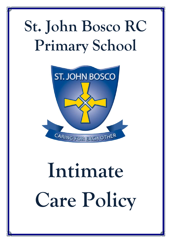## **St. John Bosco RC Primary School**



# **Intimate Care Policy**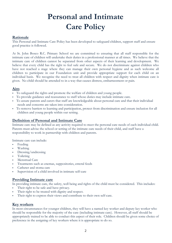### **Personal and Intimate Care Policy**

#### **Rationale**

This Personal and Intimate Care Policy has been developed to safeguard children, support staff and ensure good practice is followed.

At St. John Bosco R.C. Primary School we are committed to ensuring that all staff responsible for the intimate care of children will undertake their duties in a professional manner at all times. We believe that the intimate care of children cannot be separated from other aspects of their learning and development. We believe that every child has the right to feel safe and secure. We do not discriminate against children who have not reached a stage where they can manage their own personal hygiene and as such welcome all children to participate in our Foundation unit and provide appropriate support for each child on an individual basis. We recognise the need to treat all children with respect and dignity when intimate care is given. No child should be attended to in a way that causes distress, embarrassment or pain.

#### **Aim**

- To safeguard the rights and promote the welfare of children and young people.
- To provide guidance and reassurance to staff whose duties may include intimate care.
- To assure parents and carers that staff are knowledgeable about personal care and that their individual needs and concerns are taken into consideration.
- To remove barriers to learning and participation, protect from discrimination and ensure inclusion for all children and young people within our setting.

#### **Definition of Personal and Intimate Care**

Intimate care may be defined as any activity required to meet the personal care needs of each individual child. Parents must advise the school or setting of the intimate care needs of their child, and staff have a responsibility to work in partnership with children and parents.

Intimate care can include:

- Feeding
- Washing
- Dressing/undressing
- Toileting
- Menstrual Care
- Treatments such as enemas, suppositories, enteral feeds
- Catheter and stoma care
- Supervision of a child involved in intimate self-care

#### **Providing Intimate care**

In providing intimate care, the safety, well being and rights of the child must be considered. This includes:

- Their right to be safe and have privacy.
- Their right to be treated with dignity and respect.
- Their right to express their views and contribute to their own self-care.

#### **Key workers**

In most circumstances for younger children, they will have a named key worker and deputy key worker who should be responsible for the majority of the care (including intimate care). However, all staff should be appropriately trained to be able to conduct this aspect of their role. Children should be given some choice of preference in the assigning of key workers where it is appropriate to do so.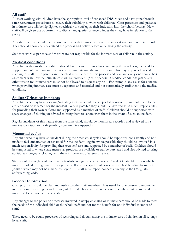#### **All staff**

All staff working with children have the appropriate level of enhanced DBS check and have gone through safer recruitment procedures to ensure their suitability to work with children. Clear processes and guidance in intimate care will be highlighted specifically to staff upon their Induction into the school/setting. New staff will be given the opportunity to discuss any queries or uncertainties they may have in relation to the policy.

Any staff member should be prepared to deal with intimate care circumstances at any point in their job role. They should know and understand the process and policy before undertaking the activity.

Students, work experience and visitors are not responsible for the intimate care of children in the setting.

#### **Medical conditions**

Any child with a medical condition should have a care plan in school, outlining the condition, the need for support and intervention and the process for undertaking the intimate care. This may require additional training for staff. The parents and the child must be part of this process and plan and every one should be in agreement with how the intimate care will be provided. (See Appendix 1) Medical conditions just as any other reason for intimate care must not be allowed to disguise any risk. For example, any cause for concern when providing intimate care must be reported and recorded and not automatically attributed to the medical condition.

#### **Soiling/Urinating incidents**

Any child who may have a soiling/urinating incident should be supported consistently and not made to feel embarrassed or ashamed for the incident. Where possible they should be involved in as much responsibility for providing their own self care and supported by a member of staff. Children should be supported with spare changes of clothing or advised to bring them to school with them in the event of such an incident.

Regular incidents of this nature from the same child, should be monitored, recorded and reviewed for a medical condition or a safeguarding concern. (See Appendix 2)

#### **Menstrual cycles**

Any child who may have an incident during their menstrual cycle should be supported consistently and not made to feel embarrassed or ashamed for the incident. Again, where possible they should be involved in as much responsibility for providing their own self care and supported by a member of staff. Children should be signposted to where spare menstrual products are available or can be purchased and also advised to bring additional changes of clothing with them in the event of a reoccurrence.

Staff should be vigilant of children particularly in regards to incidents of Female Genital Mutilation which may be masked through menstrual cycle as well as any suspicion of concern of a child bleeding from their genitals which may not be a menstrual cycle. All staff must report concerns directly to the Designated Safeguarding leads.

#### **General Information**

Changing areas should be clear and visible to other staff members. It is usual for one person to undertake intimate care for the rights and privacy of the child, however where necessary or where risk is involved this may need to be two members of staff.

Any changes to the policy or processes involved in nappy changing or intimate care should be made to meet the needs of the individual child or the whole staff and not for the benefit for one individual member of staff.

There need to be sound processes of recording and documenting the intimate care of children in all settings by all staff.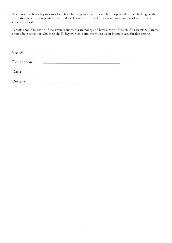There need to be clear processes for whistleblowing and there should be an open culture of challenge within the setting where appropriate so that staff feel confident to alert/inform senior members of staff to any concerns raised.

Parents should be aware of the setting's intimate care policy and have a copy of the child's care plan. Parents should be clear about who their child's key worker is and the processes of intimate care for that setting.

| Signed:        |         |
|----------------|---------|
| Designation:   |         |
| Date:          |         |
| <b>Review:</b> | _______ |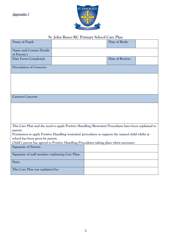Appendix 1



#### **St. John Bosco RC Primary School Care Plan**

| Name of Pupil:                                                                                       |  |  | Date of Birth:  |  |  |  |
|------------------------------------------------------------------------------------------------------|--|--|-----------------|--|--|--|
| <b>Name and Contact Details</b><br>of Parent/s                                                       |  |  |                 |  |  |  |
| Date Form Completed:                                                                                 |  |  | Date of Review: |  |  |  |
| Description of Concern:                                                                              |  |  |                 |  |  |  |
|                                                                                                      |  |  |                 |  |  |  |
|                                                                                                      |  |  |                 |  |  |  |
|                                                                                                      |  |  |                 |  |  |  |
| <b>Current Concern:</b>                                                                              |  |  |                 |  |  |  |
|                                                                                                      |  |  |                 |  |  |  |
|                                                                                                      |  |  |                 |  |  |  |
|                                                                                                      |  |  |                 |  |  |  |
| This Care Plan and the need to apply Positive Handling (Restraint) Procedures have been explained to |  |  |                 |  |  |  |
| parent.                                                                                              |  |  |                 |  |  |  |
| Permission to apply Positive Handling (restraint) procedures to support the named child whilst at    |  |  |                 |  |  |  |
| school has been given by parent.                                                                     |  |  |                 |  |  |  |
| Child's parent has agreed to Positive Handling Procedures taking place when necessary.               |  |  |                 |  |  |  |
| <b>Signature of Parent:</b>                                                                          |  |  |                 |  |  |  |
| Signature of staff member explaining Care Plan:                                                      |  |  |                 |  |  |  |
| Date:                                                                                                |  |  |                 |  |  |  |
| This Care Plan was explained by:                                                                     |  |  |                 |  |  |  |